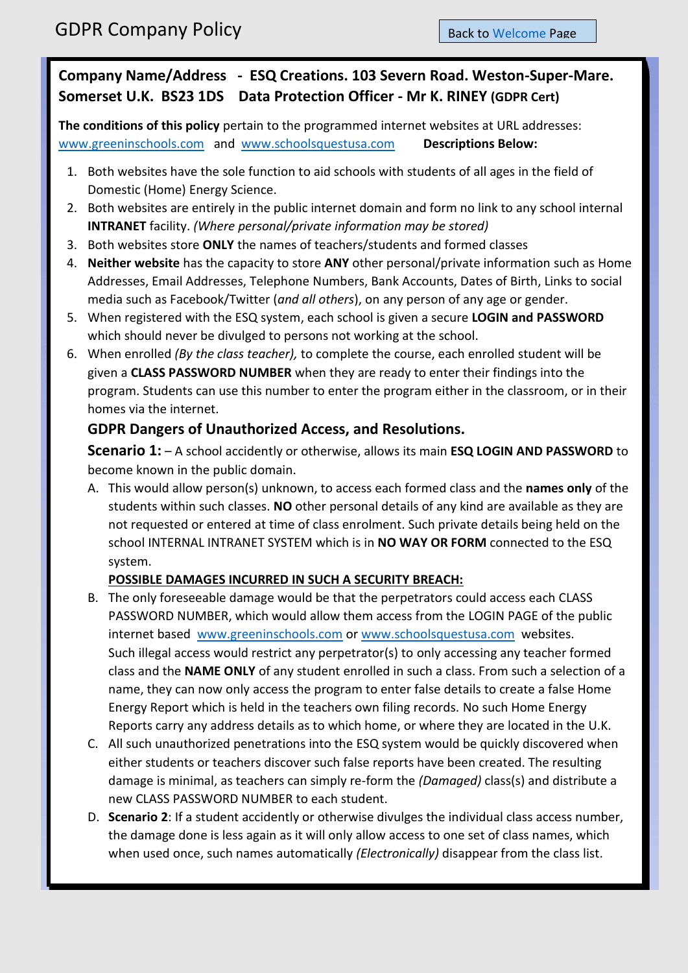## **Company Name/Address - ESQ Creations. 103 Severn Road. Weston-Super-Mare. Somerset U.K. BS23 1DS Data Protection Officer - Mr K. RINEY (GDPR Cert)**

**The conditions of this policy** pertain to the programmed internet websites at URL addresses: [www.greeninschools.com](http://www.greeninschools.com/) and [www.schoolsquestusa.com](http://www.schoolsquestusa.com/) **Descriptions Below:**

- 1. Both websites have the sole function to aid schools with students of all ages in the field of Domestic (Home) Energy Science.
- 2. Both websites are entirely in the public internet domain and form no link to any school internal **INTRANET** facility. *(Where personal/private information may be stored)*
- 3. Both websites store **ONLY** the names of teachers/students and formed classes
- 4. **Neither website** has the capacity to store **ANY** other personal/private information such as Home Addresses, Email Addresses, Telephone Numbers, Bank Accounts, Dates of Birth, Links to social media such as Facebook/Twitter (*and all others*), on any person of any age or gender.
- 5. When registered with the ESQ system, each school is given a secure **LOGIN and PASSWORD** which should never be divulged to persons not working at the school.
- 6. When enrolled *(By the class teacher),* to complete the course, each enrolled student will be given a **CLASS PASSWORD NUMBER** when they are ready to enter their findings into the program. Students can use this number to enter the program either in the classroom, or in their homes via the internet.

### **GDPR Dangers of Unauthorized Access, and Resolutions.**

**Scenario 1:** – A school accidently or otherwise, allows its main **ESQ LOGIN AND PASSWORD** to become known in the public domain.

A. This would allow person(s) unknown, to access each formed class and the **names only** of the students within such classes. **NO** other personal details of any kind are available as they are not requested or entered at time of class enrolment. Such private details being held on the school INTERNAL INTRANET SYSTEM which is in **NO WAY OR FORM** connected to the ESQ system.

### **POSSIBLE DAMAGES INCURRED IN SUCH A SECURITY BREACH:**

- B. The only foreseeable damage would be that the perpetrators could access each CLASS PASSWORD NUMBER, which would allow them access from the LOGIN PAGE of the public internet based [www.greeninschools.com](http://www.greeninschools.com/) o[r www.schoolsquestusa.com](http://www.schoolsquestusa.com/) websites. Such illegal access would restrict any perpetrator(s) to only accessing any teacher formed class and the **NAME ONLY** of any student enrolled in such a class. From such a selection of a name, they can now only access the program to enter false details to create a false Home Energy Report which is held in the teachers own filing records. No such Home Energy Reports carry any address details as to which home, or where they are located in the U.K.
- C. All such unauthorized penetrations into the ESQ system would be quickly discovered when either students or teachers discover such false reports have been created. The resulting damage is minimal, as teachers can simply re-form the *(Damaged)* class(s) and distribute a new CLASS PASSWORD NUMBER to each student.
- D. **Scenario 2**: If a student accidently or otherwise divulges the individual class access number, the damage done is less again as it will only allow access to one set of class names, which when used once, such names automatically *(Electronically)* disappear from the class list.